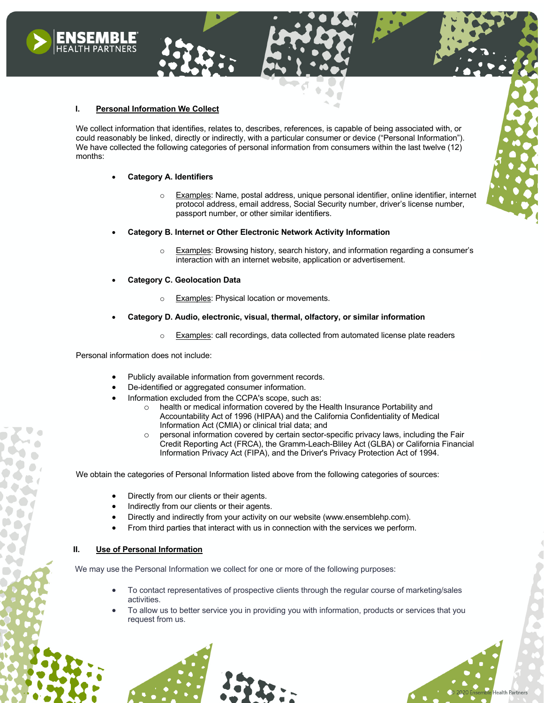# **I. Personal Information We Collect**

We collect information that identifies, relates to, describes, references, is capable of being associated with, or could reasonably be linked, directly or indirectly, with a particular consumer or device ("Personal Information"). We have collected the following categories of personal information from consumers within the last twelve (12) months:

## • **Category A. Identifiers**

Examples: Name, postal address, unique personal identifier, online identifier, internet protocol address, email address, Social Security number, driver's license number, passport number, or other similar identifiers.

## • **Category B. Internet or Other Electronic Network Activity Information**

- o Examples: Browsing history, search history, and information regarding a consumer's interaction with an internet website, application or advertisement.
- **Category C. Geolocation Data**
	- o Examples: Physical location or movements.
- **Category D. Audio, electronic, visual, thermal, olfactory, or similar information**
	- Examples: call recordings, data collected from automated license plate readers

Personal information does not include:

- Publicly available information from government records.
- De-identified or aggregated consumer information.
- Information excluded from the CCPA's scope, such as:
	- health or medical information covered by the Health Insurance Portability and Accountability Act of 1996 (HIPAA) and the California Confidentiality of Medical Information Act (CMIA) or clinical trial data; and
	- o personal information covered by certain sector-specific privacy laws, including the Fair Credit Reporting Act (FRCA), the Gramm-Leach-Bliley Act (GLBA) or California Financial Information Privacy Act (FIPA), and the Driver's Privacy Protection Act of 1994.

We obtain the categories of Personal Information listed above from the following categories of sources:

- Directly from our clients or their agents.
- Indirectly from our clients or their agents.
- Directly and indirectly from your activity on our website (www.ensemblehp.com).
- From third parties that interact with us in connection with the services we perform.

## **II. Use of Personal Information**

We may use the Personal Information we collect for one or more of the following purposes:

- To contact representatives of prospective clients through the regular course of marketing/sales activities.
- To allow us to better service you in providing you with information, products or services that you request from us.

**Health Partners**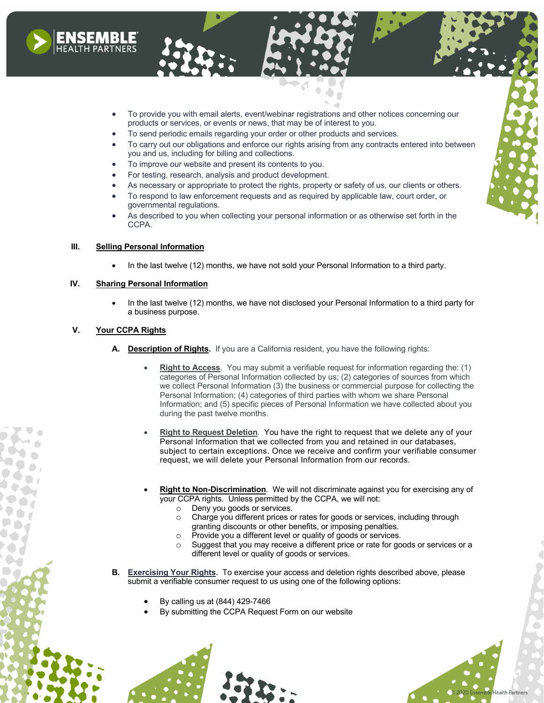

- To provide you with email alerts, event/webinar registrations and other notices concerning our products or services, or events or news, that may be of interest to you.
- To send periodic emails regarding your order or other products and services.
- To carry out our obligations and enforce our rights arising from any contracts entered into between you and us, including for billing and collections.
- To improve our website and present its contents to you.
- For testing, research, analysis and product development.
- As necessary or appropriate to protect the rights, property or safety of us, our clients or others.
- To respond to law enforcement requests and as required by applicable law, court order, or governmental regulations.
- As described to you when collecting your personal information or as otherwise set forth in the CCPA.

### **III. Selling Personal Information**

• In the last twelve (12) months, we have not sold your Personal Information to a third party.

## **IV. Sharing Personal Information**

• In the last twelve (12) months, we have not disclosed your Personal Information to a third party for a business purpose.

#### **V. Your CCPA Rights**

- **A. Description of Rights.** If you are a California resident, you have the following rights:
	- **Right to Access**. You may submit a verifiable request for information regarding the: (1) categories of Personal Information collected by us; (2) categories of sources from which we collect Personal Information (3) the business or commercial purpose for collecting the Personal Information; (4) categories of third parties with whom we share Personal Information; and (5) specific pieces of Personal Information we have collected about you during the past twelve months.
	- **Right to Request Deletion**. You have the right to request that we delete any of your Personal Information that we collected from you and retained in our databases, subject to certain exceptions. Once we receive and confirm your verifiable consumer request, we will delete your Personal Information from our records.
	- **Right to Non-Discrimination**. We will not discriminate against you for exercising any of your CCPA rights. Unless permitted by the CCPA, we will not:
		- o Deny you goods or services.
		- o Charge you different prices or rates for goods or services, including through granting discounts or other benefits, or imposing penalties.
		- o Provide you a different level or quality of goods or services.
		- o Suggest that you may receive a different price or rate for goods or services or a different level or quality of goods or services.

**Health Partners** 

- **B. Exercising Your Rights.** To exercise your access and deletion rights described above, please submit a verifiable consumer request to us using one of the following options:
	- By calling us at (844) 429-7466
	- By submitting the CCPA Request Form on our website